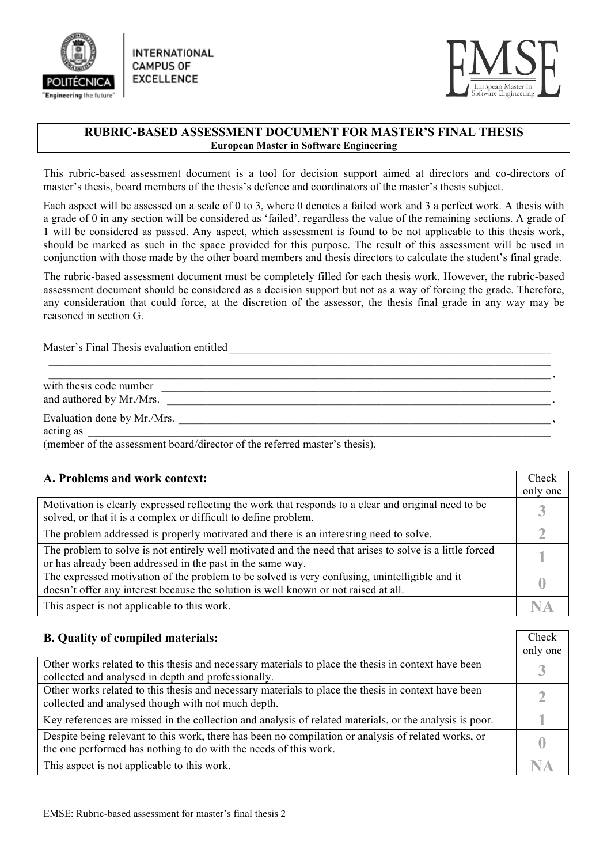

**INTERNATIONAL CAMPUS OF EXCELLENCE** 



## **RUBRIC-BASED ASSESSMENT DOCUMENT FOR MASTER'S FINAL THESIS European Master in Software Engineering**

This rubric-based assessment document is a tool for decision support aimed at directors and co-directors of master's thesis, board members of the thesis's defence and coordinators of the master's thesis subject.

Each aspect will be assessed on a scale of 0 to 3, where 0 denotes a failed work and 3 a perfect work. A thesis with a grade of 0 in any section will be considered as 'failed', regardless the value of the remaining sections. A grade of 1 will be considered as passed. Any aspect, which assessment is found to be not applicable to this thesis work, should be marked as such in the space provided for this purpose. The result of this assessment will be used in conjunction with those made by the other board members and thesis directors to calculate the student's final grade.

The rubric-based assessment document must be completely filled for each thesis work. However, the rubric-based assessment document should be considered as a decision support but not as a way of forcing the grade. Therefore, any consideration that could force, at the discretion of the assessor, the thesis final grade in any way may be reasoned in section G.

 $\_$  , and the contribution of the contribution of the contribution of the contribution of the contribution of  $\mathcal{A}$ 

Master's Final Thesis evaluation entitled \_\_\_\_\_\_\_\_\_\_\_\_\_\_\_\_\_\_\_\_\_\_\_\_\_\_\_\_\_\_\_\_\_\_\_\_\_\_\_\_\_\_\_\_\_\_\_\_\_\_\_\_\_\_\_\_\_

with thesis code number  $\Box$ and authored by Mr./Mrs.

Evaluation done by Mr./Mrs.

acting as \_\_\_\_\_\_\_\_\_\_\_\_\_\_\_\_\_\_\_\_\_\_\_\_\_\_\_\_\_\_\_\_\_\_\_\_\_\_\_\_\_\_\_\_\_\_\_\_\_\_\_\_\_\_\_\_\_\_\_\_\_\_\_\_\_\_\_\_\_\_\_\_\_\_\_\_\_\_\_\_\_\_

(member of the assessment board/director of the referred master's thesis).

| A. Problems and work context:                                                                                                                                                        | Check<br>only one |
|--------------------------------------------------------------------------------------------------------------------------------------------------------------------------------------|-------------------|
| Motivation is clearly expressed reflecting the work that responds to a clear and original need to be<br>solved, or that it is a complex or difficult to define problem.              |                   |
| The problem addressed is properly motivated and there is an interesting need to solve.                                                                                               |                   |
| The problem to solve is not entirely well motivated and the need that arises to solve is a little forced<br>or has already been addressed in the past in the same way.               |                   |
| The expressed motivation of the problem to be solved is very confusing, unintelligible and it<br>doesn't offer any interest because the solution is well known or not raised at all. |                   |
| This aspect is not applicable to this work.                                                                                                                                          |                   |

| <b>B.</b> Quality of compiled materials:                                                                | Check    |
|---------------------------------------------------------------------------------------------------------|----------|
|                                                                                                         | only one |
| Other works related to this thesis and necessary materials to place the thesis in context have been     |          |
| collected and analysed in depth and professionally.                                                     |          |
| Other works related to this thesis and necessary materials to place the thesis in context have been     |          |
| collected and analysed though with not much depth.                                                      |          |
| Key references are missed in the collection and analysis of related materials, or the analysis is poor. |          |
| Despite being relevant to this work, there has been no compilation or analysis of related works, or     |          |
| the one performed has nothing to do with the needs of this work.                                        |          |
| This aspect is not applicable to this work.                                                             |          |